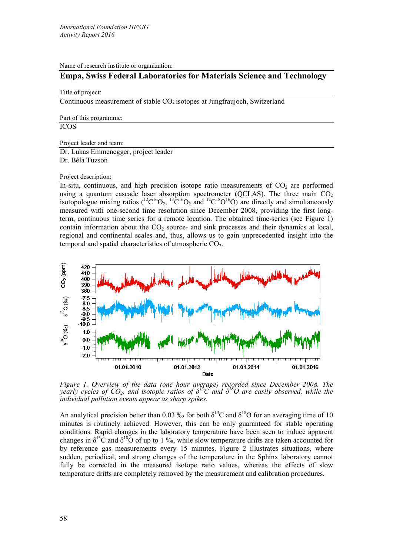Name of research institute or organization:

## **Empa, Swiss Federal Laboratories for Materials Science and Technology**

Title of project:

Continuous measurement of stable CO2 isotopes at Jungfraujoch, Switzerland

Part of this programme:

ICOS

Project leader and team:

Dr. Lukas Emmenegger, project leader Dr. Béla Tuzson

## Project description:

In-situ, continuous, and high precision isotope ratio measurements of  $CO<sub>2</sub>$  are performed using a quantum cascade laser absorption spectrometer (QCLAS). The three main  $CO<sub>2</sub>$ isotopologue mixing ratios ( ${}^{12}C^{16}O_2$ ,  ${}^{13}C^{16}O_2$  and  ${}^{12}C^{18}O^{16}O$ ) are directly and simultaneously measured with one-second time resolution since December 2008, providing the first longterm, continuous time series for a remote location. The obtained time-series (see Figure 1) contain information about the  $CO<sub>2</sub>$  source- and sink processes and their dynamics at local, regional and continental scales and, thus, allows us to gain unprecedented insight into the temporal and spatial characteristics of atmospheric  $CO<sub>2</sub>$ .



*Figure 1. Overview of the data (one hour average) recorded since December 2008. The yearly cycles of CO2, and isotopic ratios of δ<sup>13</sup>C and δ18O are easily observed, while the individual pollution events appear as sharp spikes.*

An analytical precision better than 0.03 ‰ for both  $\delta^{13}$ C and  $\delta^{18}$ O for an averaging time of 10 minutes is routinely achieved. However, this can be only guaranteed for stable operating conditions. Rapid changes in the laboratory temperature have been seen to induce apparent changes in  $\delta^{13}$ C and  $\delta^{18}$ O of up to 1 ‰, while slow temperature drifts are taken accounted for by reference gas measurements every 15 minutes. Figure 2 illustrates situations, where sudden, periodical, and strong changes of the temperature in the Sphinx laboratory cannot fully be corrected in the measured isotope ratio values, whereas the effects of slow temperature drifts are completely removed by the measurement and calibration procedures.